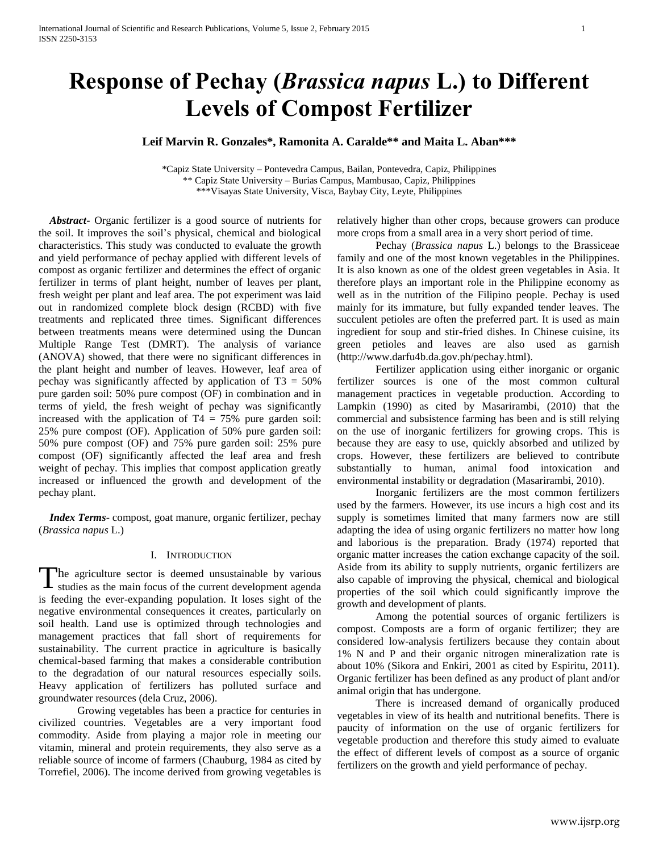# **Response of Pechay (***Brassica napus* **L.) to Different Levels of Compost Fertilizer**

## **Leif Marvin R. Gonzales\*, Ramonita A. Caralde\*\* and Maita L. Aban\*\*\***

\*Capiz State University – Pontevedra Campus, Bailan, Pontevedra, Capiz, Philippines \*\* Capiz State University – Burias Campus, Mambusao, Capiz, Philippines \*\*\*Visayas State University, Visca, Baybay City, Leyte, Philippines

 *Abstract***-** Organic fertilizer is a good source of nutrients for the soil. It improves the soil's physical, chemical and biological characteristics. This study was conducted to evaluate the growth and yield performance of pechay applied with different levels of compost as organic fertilizer and determines the effect of organic fertilizer in terms of plant height, number of leaves per plant, fresh weight per plant and leaf area. The pot experiment was laid out in randomized complete block design (RCBD) with five treatments and replicated three times. Significant differences between treatments means were determined using the Duncan Multiple Range Test (DMRT). The analysis of variance (ANOVA) showed, that there were no significant differences in the plant height and number of leaves. However, leaf area of pechay was significantly affected by application of  $T3 = 50\%$ pure garden soil: 50% pure compost (OF) in combination and in terms of yield, the fresh weight of pechay was significantly increased with the application of  $T4 = 75%$  pure garden soil: 25% pure compost (OF). Application of 50% pure garden soil: 50% pure compost (OF) and 75% pure garden soil: 25% pure compost (OF) significantly affected the leaf area and fresh weight of pechay. This implies that compost application greatly increased or influenced the growth and development of the pechay plant.

 *Index Terms*- compost, goat manure, organic fertilizer, pechay (*Brassica napus* L.)

## I. INTRODUCTION

The agriculture sector is deemed unsustainable by various studies as the main focus of the current development agenda studies as the main focus of the current development agenda is feeding the ever-expanding population. It loses sight of the negative environmental consequences it creates, particularly on soil health. Land use is optimized through technologies and management practices that fall short of requirements for sustainability. The current practice in agriculture is basically chemical-based farming that makes a considerable contribution to the degradation of our natural resources especially soils. Heavy application of fertilizers has polluted surface and groundwater resources (dela Cruz, 2006).

Growing vegetables has been a practice for centuries in civilized countries. Vegetables are a very important food commodity. Aside from playing a major role in meeting our vitamin, mineral and protein requirements, they also serve as a reliable source of income of farmers (Chauburg, 1984 as cited by Torrefiel, 2006). The income derived from growing vegetables is

relatively higher than other crops, because growers can produce more crops from a small area in a very short period of time.

Pechay (*Brassica napus* L.) belongs to the Brassiceae family and one of the most known vegetables in the Philippines. It is also known as one of the oldest green vegetables in Asia. It therefore plays an important role in the Philippine economy as well as in the nutrition of the Filipino people. Pechay is used mainly for its immature, but fully expanded tender leaves. The succulent petioles are often the preferred part. It is used as main ingredient for soup and stir-fried dishes. In Chinese cuisine, its green petioles and leaves are also used as garnish [\(http://www.darfu4b.da.gov.ph/pechay.html\)](http://www.darfu4b.da.gov.ph/pechay.html).

Fertilizer application using either inorganic or organic fertilizer sources is one of the most common cultural management practices in vegetable production. According to Lampkin (1990) as cited by Masarirambi, (2010) that the commercial and subsistence farming has been and is still relying on the use of inorganic fertilizers for growing crops. This is because they are easy to use, quickly absorbed and utilized by crops. However, these fertilizers are believed to contribute substantially to human, animal food intoxication and environmental instability or degradation (Masarirambi, 2010).

Inorganic fertilizers are the most common fertilizers used by the farmers. However, its use incurs a high cost and its supply is sometimes limited that many farmers now are still adapting the idea of using organic fertilizers no matter how long and laborious is the preparation. Brady (1974) reported that organic matter increases the cation exchange capacity of the soil. Aside from its ability to supply nutrients, organic fertilizers are also capable of improving the physical, chemical and biological properties of the soil which could significantly improve the growth and development of plants.

Among the potential sources of organic fertilizers is compost. Composts are a form of organic fertilizer; they are considered low-analysis fertilizers because they contain about 1% N and P and their organic nitrogen mineralization rate is about 10% (Sikora and Enkiri, 2001 as cited by Espiritu, 2011). Organic fertilizer has been defined as any product of plant and/or animal origin that has undergone.

There is increased demand of organically produced vegetables in view of its health and nutritional benefits. There is paucity of information on the use of organic fertilizers for vegetable production and therefore this study aimed to evaluate the effect of different levels of compost as a source of organic fertilizers on the growth and yield performance of pechay.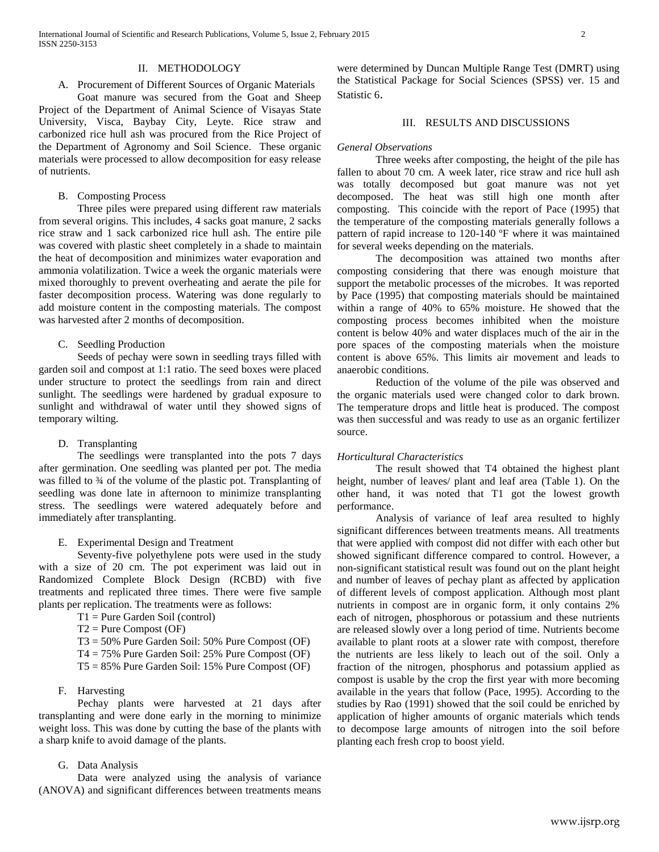## II. METHODOLOGY

## A. Procurement of Different Sources of Organic Materials

Goat manure was secured from the Goat and Sheep Project of the Department of Animal Science of Visayas State University, Visca, Baybay City, Leyte. Rice straw and carbonized rice hull ash was procured from the Rice Project of the Department of Agronomy and Soil Science. These organic materials were processed to allow decomposition for easy release of nutrients.

## B. Composting Process

Three piles were prepared using different raw materials from several origins. This includes, 4 sacks goat manure, 2 sacks rice straw and 1 sack carbonized rice hull ash. The entire pile was covered with plastic sheet completely in a shade to maintain the heat of decomposition and minimizes water evaporation and ammonia volatilization. Twice a week the organic materials were mixed thoroughly to prevent overheating and aerate the pile for faster decomposition process. Watering was done regularly to add moisture content in the composting materials. The compost was harvested after 2 months of decomposition.

## C. Seedling Production

Seeds of pechay were sown in seedling trays filled with garden soil and compost at 1:1 ratio. The seed boxes were placed under structure to protect the seedlings from rain and direct sunlight. The seedlings were hardened by gradual exposure to sunlight and withdrawal of water until they showed signs of temporary wilting.

## D. Transplanting

The seedlings were transplanted into the pots 7 days after germination. One seedling was planted per pot. The media was filled to  $\frac{3}{4}$  of the volume of the plastic pot. Transplanting of seedling was done late in afternoon to minimize transplanting stress. The seedlings were watered adequately before and immediately after transplanting.

## E. Experimental Design and Treatment

Seventy-five polyethylene pots were used in the study with a size of 20 cm. The pot experiment was laid out in Randomized Complete Block Design (RCBD) with five treatments and replicated three times. There were five sample plants per replication. The treatments were as follows:

- T1 = Pure Garden Soil (control)
- $T2 = Pure Compost (OF)$
- T3 = 50% Pure Garden Soil: 50% Pure Compost (OF)
- T4 = 75% Pure Garden Soil: 25% Pure Compost (OF)
- T5 = 85% Pure Garden Soil: 15% Pure Compost (OF)

## F. Harvesting

Pechay plants were harvested at 21 days after transplanting and were done early in the morning to minimize weight loss. This was done by cutting the base of the plants with a sharp knife to avoid damage of the plants.

## G. Data Analysis

Data were analyzed using the analysis of variance (ANOVA) and significant differences between treatments means were determined by Duncan Multiple Range Test (DMRT) using the Statistical Package for Social Sciences (SPSS) ver. 15 and Statistic 6.

## III. RESULTS AND DISCUSSIONS

### *General Observations*

Three weeks after composting, the height of the pile has fallen to about 70 cm. A week later, rice straw and rice hull ash was totally decomposed but goat manure was not yet decomposed. The heat was still high one month after composting. This coincide with the report of Pace (1995) that the temperature of the composting materials generally follows a pattern of rapid increase to 120-140 ºF where it was maintained for several weeks depending on the materials.

The decomposition was attained two months after composting considering that there was enough moisture that support the metabolic processes of the microbes. It was reported by Pace (1995) that composting materials should be maintained within a range of 40% to 65% moisture. He showed that the composting process becomes inhibited when the moisture content is below 40% and water displaces much of the air in the pore spaces of the composting materials when the moisture content is above 65%. This limits air movement and leads to anaerobic conditions.

Reduction of the volume of the pile was observed and the organic materials used were changed color to dark brown. The temperature drops and little heat is produced. The compost was then successful and was ready to use as an organic fertilizer source.

### *Horticultural Characteristics*

The result showed that T4 obtained the highest plant height, number of leaves/ plant and leaf area (Table 1). On the other hand, it was noted that T1 got the lowest growth performance.

Analysis of variance of leaf area resulted to highly significant differences between treatments means. All treatments that were applied with compost did not differ with each other but showed significant difference compared to control. However, a non-significant statistical result was found out on the plant height and number of leaves of pechay plant as affected by application of different levels of compost application. Although most plant nutrients in compost are in organic form, it only contains 2% each of nitrogen, phosphorous or potassium and these nutrients are released slowly over a long period of time. Nutrients become available to plant roots at a slower rate with compost, therefore the nutrients are less likely to leach out of the soil. Only a fraction of the nitrogen, phosphorus and potassium applied as compost is usable by the crop the first year with more becoming available in the years that follow (Pace, 1995). According to the studies by Rao (1991) showed that the soil could be enriched by application of higher amounts of organic materials which tends to decompose large amounts of nitrogen into the soil before planting each fresh crop to boost yield.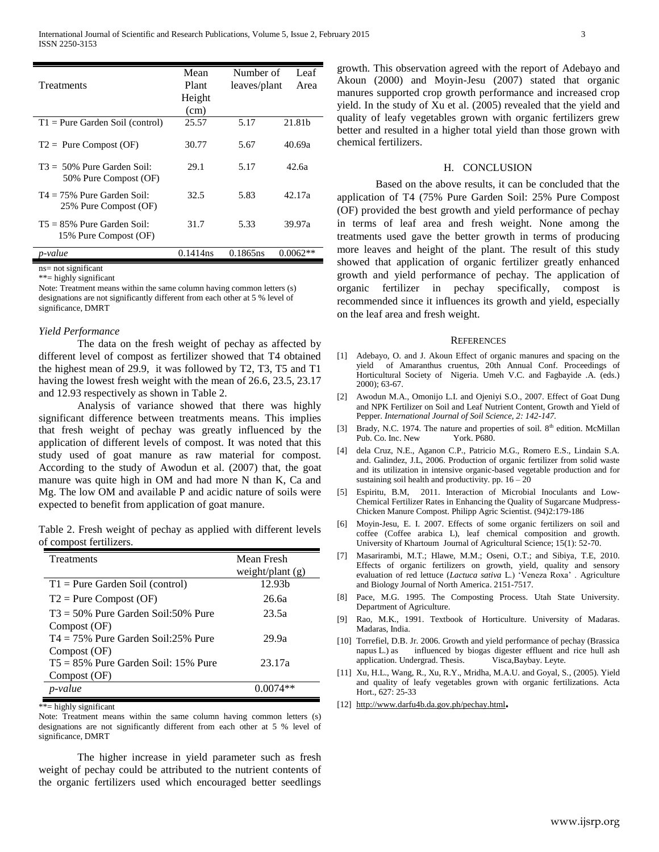| <b>Treatments</b>                                      | Mean<br>Plant<br>Height<br>(cm) | Number of<br>leaves/plant | Leaf<br>Area       |
|--------------------------------------------------------|---------------------------------|---------------------------|--------------------|
| $T1 = Pure Garden Solid (control)$                     | 25.57                           | 5.17                      | 21.81 <sub>b</sub> |
| $T2 =$ Pure Compost (OF)                               | 30.77                           | 5.67                      | 40.69a             |
| $T3 = 50\%$ Pure Garden Soil:<br>50% Pure Compost (OF) | 29.1                            | 5.17                      | 42.6а              |
| $T4 = 75\%$ Pure Garden Soil:<br>25% Pure Compost (OF) | 32.5                            | 5.83                      | 42.17a             |
| $T5 = 85\%$ Pure Garden Soil:<br>15% Pure Compost (OF) | 31.7                            | 5.33                      | 39.97a             |
| p-value                                                | 0.1414ns                        | 0.1865ns                  | $0.0062**$         |

ns= not significant

\*\*= highly significant

Note: Treatment means within the same column having common letters (s) designations are not significantly different from each other at 5 % level of significance, DMRT

#### *Yield Performance*

The data on the fresh weight of pechay as affected by different level of compost as fertilizer showed that T4 obtained the highest mean of 29.9, it was followed by T2, T3, T5 and T1 having the lowest fresh weight with the mean of 26.6, 23.5, 23.17 and 12.93 respectively as shown in Table 2.

Analysis of variance showed that there was highly significant difference between treatments means. This implies that fresh weight of pechay was greatly influenced by the application of different levels of compost. It was noted that this study used of goat manure as raw material for compost. According to the study of Awodun et al. (2007) that, the goat manure was quite high in OM and had more N than K, Ca and Mg. The low OM and available P and acidic nature of soils were expected to benefit from application of goat manure.

Table 2. Fresh weight of pechay as applied with different levels of compost fertilizers.

| <b>Treatments</b>                      | Mean Fresh         |
|----------------------------------------|--------------------|
|                                        | weight/plant $(g)$ |
| $T1 =$ Pure Garden Soil (control)      | 12.93 <sub>b</sub> |
| $T2$ = Pure Compost (OF)               | 26.6а              |
| $T3 = 50\%$ Pure Garden Soil:50% Pure  | 23.5a              |
| Compost (OF)                           |                    |
| $T4 = 75\%$ Pure Garden Soil:25% Pure  | 29.9a              |
| Compost (OF)                           |                    |
| $T5 = 85\%$ Pure Garden Soil: 15% Pure | 23.17a             |
| Compost (OF)                           |                    |
| p-value                                |                    |
|                                        |                    |

\*\*= highly significant

Note: Treatment means within the same column having common letters (s) designations are not significantly different from each other at 5 % level of significance, DMRT

The higher increase in yield parameter such as fresh weight of pechay could be attributed to the nutrient contents of the organic fertilizers used which encouraged better seedlings growth. This observation agreed with the report of Adebayo and Akoun (2000) and Moyin-Jesu (2007) stated that organic manures supported crop growth performance and increased crop yield. In the study of Xu et al. (2005) revealed that the yield and quality of leafy vegetables grown with organic fertilizers grew better and resulted in a higher total yield than those grown with chemical fertilizers.

### H. CONCLUSION

Based on the above results, it can be concluded that the application of T4 (75% Pure Garden Soil: 25% Pure Compost (OF) provided the best growth and yield performance of pechay in terms of leaf area and fresh weight. None among the treatments used gave the better growth in terms of producing more leaves and height of the plant. The result of this study showed that application of organic fertilizer greatly enhanced growth and yield performance of pechay. The application of organic fertilizer in pechay specifically, compost is recommended since it influences its growth and yield, especially on the leaf area and fresh weight.

#### **REFERENCES**

- [1] Adebayo, O. and J. Akoun Effect of organic manures and spacing on the yield of Amaranthus cruentus, 20th Annual Conf. Proceedings of Horticultural Society of Nigeria. Umeh V.C. and Fagbayide .A. (eds.) 2000); 63-67.
- [2] Awodun M.A., Omonijo L.I. and Ojeniyi S.O., 2007. Effect of Goat Dung and NPK Fertilizer on Soil and Leaf Nutrient Content, Growth and Yield of Pepper. *International Journal of Soil Science, 2: 142-147.*
- [3] Brady, N.C. 1974. The nature and properties of soil.  $8<sup>th</sup>$  edition. McMillan Pub. Co. Inc. New York. P680.
- [4] dela Cruz, N.E., Aganon C.P., Patricio M.G., Romero E.S., Lindain S.A. and. Galindez, J.L, 2006. Production of organic fertilizer from solid waste and its utilization in intensive organic-based vegetable production and for sustaining soil health and productivity. pp.  $16 - 20$
- [5] Espiritu, B.M, 2011. Interaction of Microbial Inoculants and Low-Chemical Fertilizer Rates in Enhancing the Quality of Sugarcane Mudpress-Chicken Manure Compost. Philipp Agric Scientist. (94)2:179-186
- [6] Moyin-Jesu, E. I. 2007. Effects of some organic fertilizers on soil and coffee (Coffee arabica L), leaf chemical composition and growth. University of Khartoum Journal of Agricultural Science; 15(1): 52-70.
- [7] Masarirambi, M.T.; Hlawe, M.M.; Oseni, O.T.; and Sibiya, T.E, 2010. Effects of organic fertilizers on growth, yield, quality and sensory evaluation of red lettuce (*Lactuca sativa* L.) 'Veneza Roxa' . Agriculture and Biology Journal of North America. 2151-7517.
- [8] Pace, M.G. 1995. The Composting Process. Utah State University. Department of Agriculture.
- [9] Rao, M.K., 1991. Textbook of Horticulture. University of Madaras. Madaras, India.
- [10] Torrefiel, D.B. Jr. 2006. Growth and yield performance of pechay (Brassica napus L.) as influenced by biogas digester effluent and rice hull ash application. Undergrad. Thesis. Visca,Baybay. Leyte.
- [11] Xu, H.L., Wang, R., Xu, R.Y., Mridha, M.A.U. and Goyal, S., (2005). Yield and quality of leafy vegetables grown with organic fertilizations. Acta Hort., 627: 25-33
- [12] <http://www.darfu4b.da.gov.ph/pechay.html>**.**